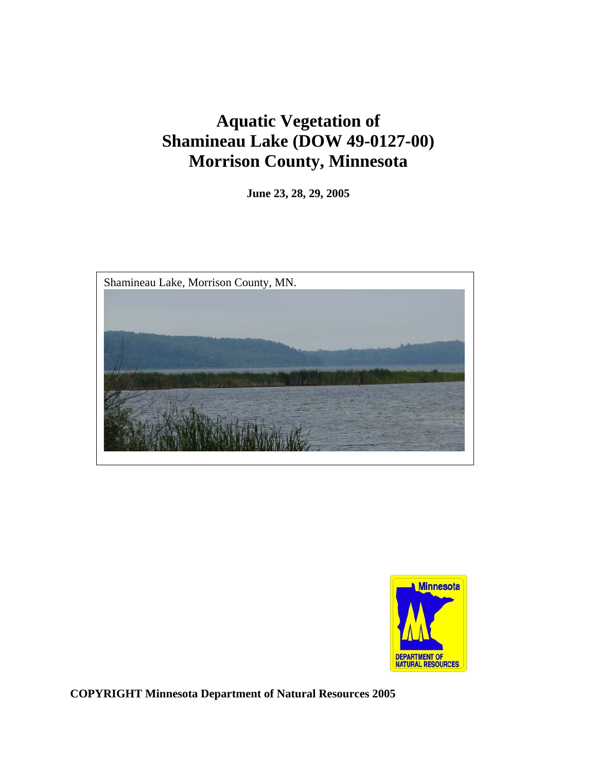# **Aquatic Vegetation of Shamineau Lake (DOW 49-0127-00) Morrison County, Minnesota**

**June 23, 28, 29, 2005** 





**COPYRIGHT Minnesota Department of Natural Resources 2005**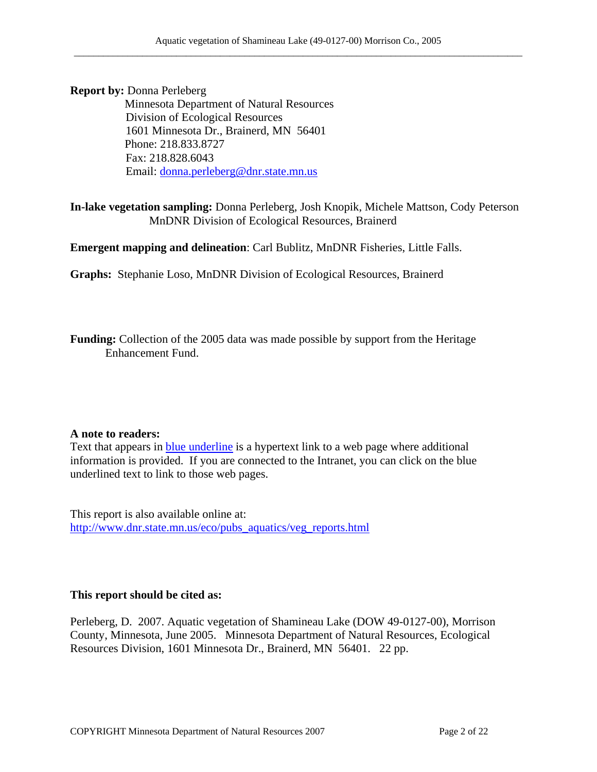**Report by: Donna Perleberg<br>Minnesota Department of Natural Resources**  Division of Ecological Resources 1601 Minnesota Dr., Brainerd, MN 56401 Phone: 218.833.8727 Fax: 218.828.6043 Email: [donna.perleberg@dnr.state.mn.us](mailto:donna.perleberg@dnr.state.mn.us)

**In-lake vegetation sampling:** Donna Perleberg, Josh Knopik, Michele Mattson, Cody Peterson MnDNR Division of Ecological Resources, Brainerd

**Emergent mapping and delineation**: Carl Bublitz, MnDNR Fisheries, Little Falls.

**Graphs:** Stephanie Loso, MnDNR Division of Ecological Resources, Brainerd

**Funding:** Collection of the 2005 data was made possible by support from the Heritage Enhancement Fund.

#### **A note to readers:**

Text that appears in **blue underline** is a hypertext link to a web page where additional information is provided. If you are connected to the Intranet, you can click on the blue underlined text to link to those web pages.

This report is also available online at: [http://www.dnr.state.mn.us/eco/pubs\\_aquatics/veg\\_reports.html](http://www.dnr.state.mn.us/eco/pubs_aquatics/veg_reports.html)

### **This report should be cited as:**

Perleberg, D. 2007. Aquatic vegetation of Shamineau Lake (DOW 49-0127-00), Morrison County, Minnesota, June 2005. Minnesota Department of Natural Resources, Ecological Resources Division, 1601 Minnesota Dr., Brainerd, MN 56401. 22 pp.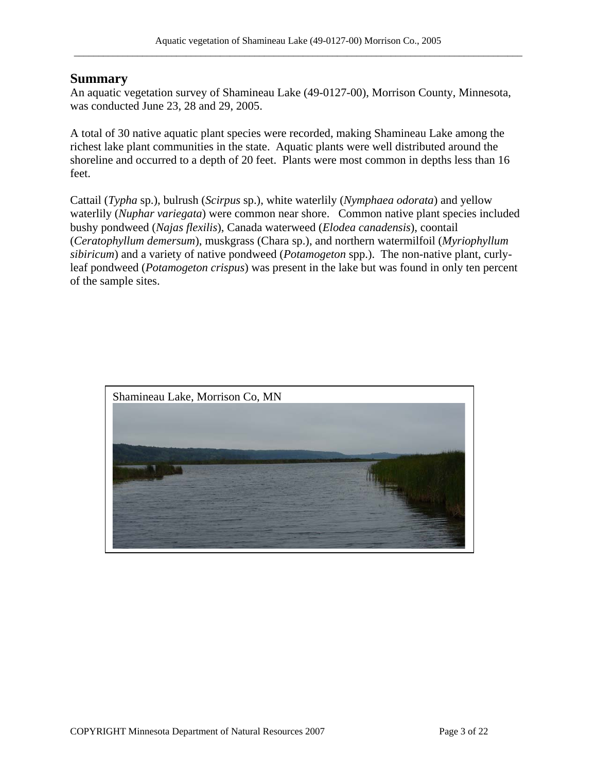### **Summary**

An aquatic vegetation survey of Shamineau Lake (49-0127-00), Morrison County, Minnesota, was conducted June 23, 28 and 29, 2005.

A total of 30 native aquatic plant species were recorded, making Shamineau Lake among the richest lake plant communities in the state. Aquatic plants were well distributed around the shoreline and occurred to a depth of 20 feet. Plants were most common in depths less than 16 feet.

Cattail (*Typha* sp.), bulrush (*Scirpus* sp.), white waterlily (*Nymphaea odorata*) and yellow waterlily (*Nuphar variegata*) were common near shore. Common native plant species included bushy pondweed (*Najas flexilis*), Canada waterweed (*Elodea canadensis*), coontail (*Ceratophyllum demersum*), muskgrass (Chara sp.), and northern watermilfoil (*Myriophyllum sibiricum*) and a variety of native pondweed (*Potamogeton* spp.). The non-native plant, curlyleaf pondweed (*Potamogeton crispus*) was present in the lake but was found in only ten percent of the sample sites.

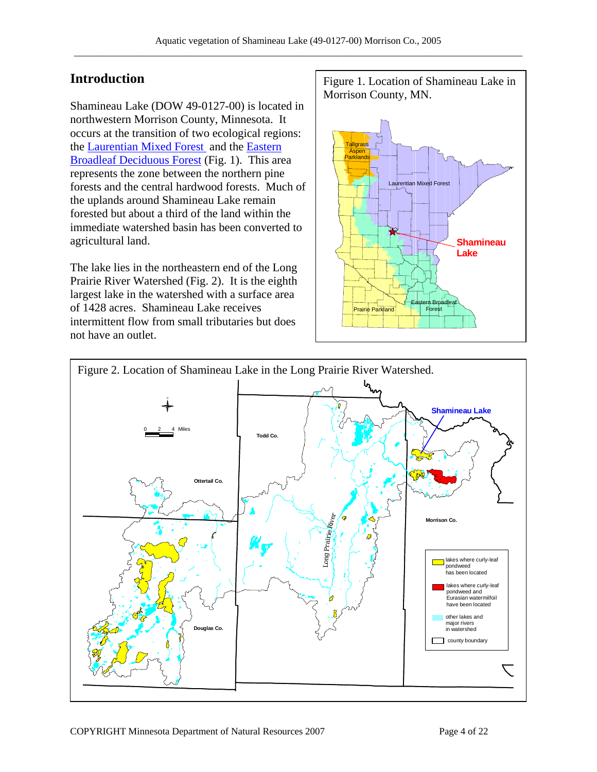Shamineau Lake (DOW 49-0127-00) is located in northwestern Morrison County, Minnesota. It occurs at the transition of two ecological regions: the **Laurentian Mixed Forest** and the **Eastern** [Broadleaf Deciduous Forest](http://www.dnr.state.mn.us/ecs/222/index.html) (Fig. 1). This area represents the zone between the northern pine forests and the central hardwood forests. Much of the uplands around Shamineau Lake remain forested but about a third of the land within the immediate watershed basin has been converted to agricultural land.

The lake lies in the northeastern end of the Long Prairie River Watershed (Fig. 2). It is the eighth largest lake in the watershed with a surface area of 1428 acres. Shamineau Lake receives intermittent flow from small tributaries but does not have an outlet.

**Introduction Figure 1. Location of Shamineau Lake in** Morrison County, MN.



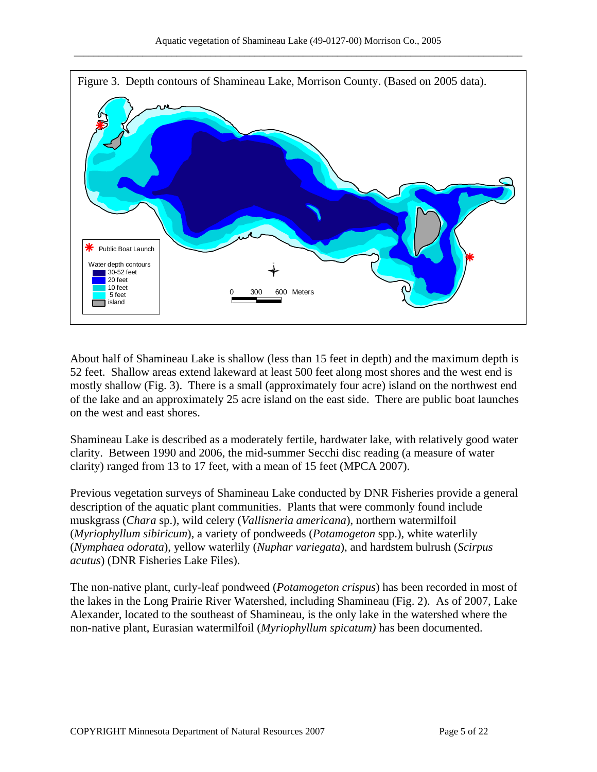

About half of Shamineau Lake is shallow (less than 15 feet in depth) and the maximum depth is 52 feet. Shallow areas extend lakeward at least 500 feet along most shores and the west end is mostly shallow (Fig. 3). There is a small (approximately four acre) island on the northwest end of the lake and an approximately 25 acre island on the east side. There are public boat launches on the west and east shores.

Shamineau Lake is described as a moderately fertile, hardwater lake, with relatively good water clarity. Between 1990 and 2006, the mid-summer Secchi disc reading (a measure of water clarity) ranged from 13 to 17 feet, with a mean of 15 feet (MPCA 2007).

Previous vegetation surveys of Shamineau Lake conducted by DNR Fisheries provide a general description of the aquatic plant communities. Plants that were commonly found include muskgrass (*Chara* sp.), wild celery (*Vallisneria americana*), northern watermilfoil (*Myriophyllum sibiricum*), a variety of pondweeds (*Potamogeton* spp.), white waterlily (*Nymphaea odorata*), yellow waterlily (*Nuphar variegata*), and hardstem bulrush (*Scirpus acutus*) (DNR Fisheries Lake Files).

The non-native plant, curly-leaf pondweed (*Potamogeton crispus*) has been recorded in most of the lakes in the Long Prairie River Watershed, including Shamineau (Fig. 2). As of 2007, Lake Alexander, located to the southeast of Shamineau, is the only lake in the watershed where the non-native plant, Eurasian watermilfoil (*Myriophyllum spicatum)* has been documented.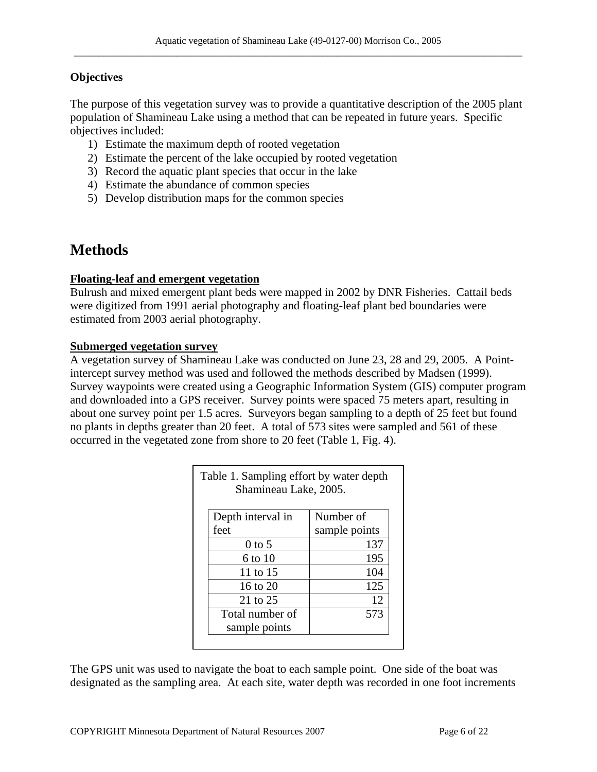### **Objectives**

The purpose of this vegetation survey was to provide a quantitative description of the 2005 plant population of Shamineau Lake using a method that can be repeated in future years. Specific objectives included:

- 1) Estimate the maximum depth of rooted vegetation
- 2) Estimate the percent of the lake occupied by rooted vegetation
- 3) Record the aquatic plant species that occur in the lake
- 4) Estimate the abundance of common species
- 5) Develop distribution maps for the common species

# **Methods**

### **Floating-leaf and emergent vegetation**

Bulrush and mixed emergent plant beds were mapped in 2002 by DNR Fisheries. Cattail beds were digitized from 1991 aerial photography and floating-leaf plant bed boundaries were estimated from 2003 aerial photography.

### **Submerged vegetation survey**

A vegetation survey of Shamineau Lake was conducted on June 23, 28 and 29, 2005. A Pointintercept survey method was used and followed the methods described by Madsen (1999). Survey waypoints were created using a Geographic Information System (GIS) computer program and downloaded into a GPS receiver. Survey points were spaced 75 meters apart, resulting in about one survey point per 1.5 acres. Surveyors began sampling to a depth of 25 feet but found no plants in depths greater than 20 feet. A total of 573 sites were sampled and 561 of these occurred in the vegetated zone from shore to 20 feet (Table 1, Fig. 4).

| Table 1. Sampling effort by water depth<br>Shamineau Lake, 2005. |               |  |  |
|------------------------------------------------------------------|---------------|--|--|
| Depth interval in                                                | Number of     |  |  |
| feet                                                             | sample points |  |  |
| $0$ to 5                                                         | 137           |  |  |
| 6 to 10                                                          | 195           |  |  |
| 11 to 15                                                         | 104           |  |  |
| 16 to $20$                                                       | 125           |  |  |
| 21 to 25                                                         | 12            |  |  |
| Total number of                                                  | 573           |  |  |
| sample points                                                    |               |  |  |

The GPS unit was used to navigate the boat to each sample point. One side of the boat was designated as the sampling area. At each site, water depth was recorded in one foot increments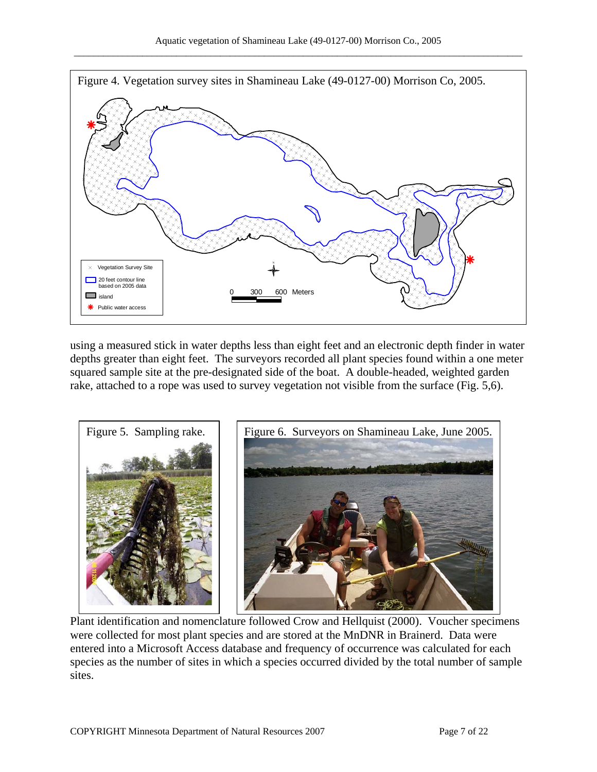

using a measured stick in water depths less than eight feet and an electronic depth finder in water depths greater than eight feet. The surveyors recorded all plant species found within a one meter squared sample site at the pre-designated side of the boat. A double-headed, weighted garden rake, attached to a rope was used to survey vegetation not visible from the surface (Fig. 5,6).



Plant identification and nomenclature followed Crow and Hellquist (2000). Voucher specimens were collected for most plant species and are stored at the MnDNR in Brainerd. Data were entered into a Microsoft Access database and frequency of occurrence was calculated for each species as the number of sites in which a species occurred divided by the total number of sample sites.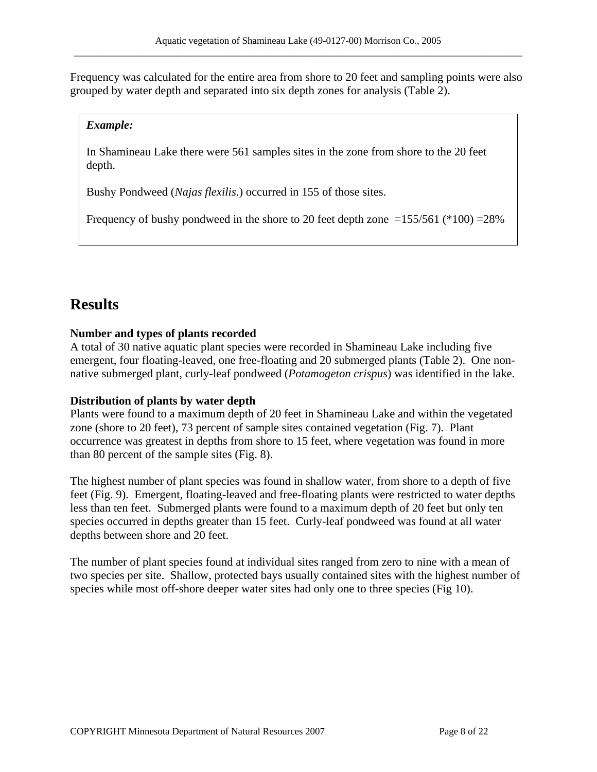Frequency was calculated for the entire area from shore to 20 feet and sampling points were also grouped by water depth and separated into six depth zones for analysis (Table 2).

### *Example:*

In Shamineau Lake there were 561 samples sites in the zone from shore to the 20 feet depth.

Bushy Pondweed (*Najas flexilis*.) occurred in 155 of those sites.

Frequency of bushy pondweed in the shore to 20 feet depth zone  $=155/561$  (\*100)  $=28\%$ 

# **Results**

### **Number and types of plants recorded**

A total of 30 native aquatic plant species were recorded in Shamineau Lake including five emergent, four floating-leaved, one free-floating and 20 submerged plants (Table 2). One nonnative submerged plant, curly-leaf pondweed (*Potamogeton crispus*) was identified in the lake.

### **Distribution of plants by water depth**

Plants were found to a maximum depth of 20 feet in Shamineau Lake and within the vegetated zone (shore to 20 feet), 73 percent of sample sites contained vegetation (Fig. 7). Plant occurrence was greatest in depths from shore to 15 feet, where vegetation was found in more than 80 percent of the sample sites (Fig. 8).

The highest number of plant species was found in shallow water, from shore to a depth of five feet (Fig. 9). Emergent, floating-leaved and free-floating plants were restricted to water depths less than ten feet. Submerged plants were found to a maximum depth of 20 feet but only ten species occurred in depths greater than 15 feet. Curly-leaf pondweed was found at all water depths between shore and 20 feet.

The number of plant species found at individual sites ranged from zero to nine with a mean of two species per site. Shallow, protected bays usually contained sites with the highest number of species while most off-shore deeper water sites had only one to three species (Fig 10).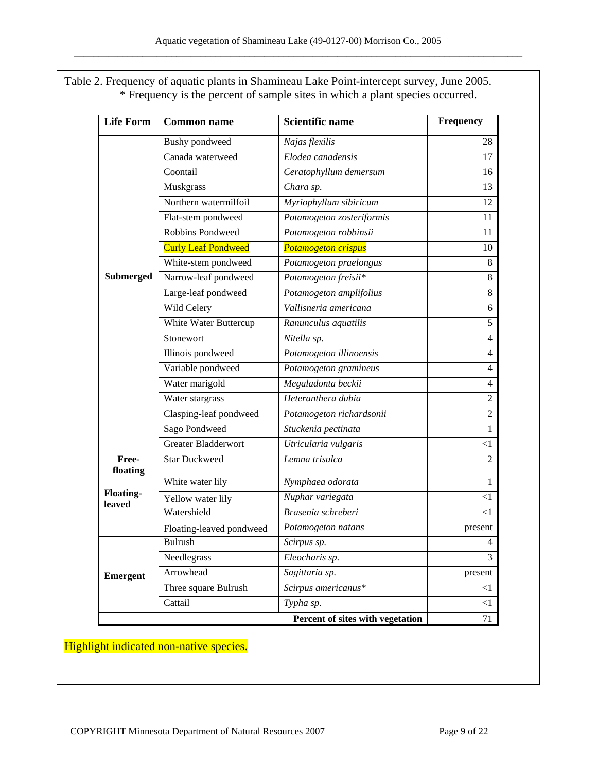Table 2. Frequency of aquatic plants in Shamineau Lake Point-intercept survey, June 2005. \* Frequency is the percent of sample sites in which a plant species occurred.

| <b>Life Form</b>           | <b>Common name</b>         | Scientific name                  | Frequency      |
|----------------------------|----------------------------|----------------------------------|----------------|
|                            | Bushy pondweed             | Najas flexilis                   | 28             |
|                            | Canada waterweed           | Elodea canadensis                | 17             |
|                            | Coontail                   | Ceratophyllum demersum           | 16             |
|                            | Muskgrass                  | Chara sp.                        | 13             |
|                            | Northern watermilfoil      | Myriophyllum sibiricum           | 12             |
|                            | Flat-stem pondweed         | Potamogeton zosteriformis        | 11             |
|                            | <b>Robbins Pondweed</b>    | Potamogeton robbinsii            | 11             |
|                            | <b>Curly Leaf Pondweed</b> | <b>Potamogeton crispus</b>       | 10             |
|                            | White-stem pondweed        | Potamogeton praelongus           | 8              |
| <b>Submerged</b>           | Narrow-leaf pondweed       | Potamogeton freisii*             | $\,8\,$        |
|                            | Large-leaf pondweed        | Potamogeton amplifolius          | $\,8\,$        |
|                            | Wild Celery                | Vallisneria americana            | 6              |
|                            | White Water Buttercup      | Ranunculus aquatilis             | 5              |
|                            | Stonewort                  | Nitella sp.                      | 4              |
|                            | Illinois pondweed          | Potamogeton illinoensis          | $\overline{4}$ |
|                            | Variable pondweed          | Potamogeton gramineus            | 4              |
|                            | Water marigold             | Megaladonta beckii               | 4              |
|                            | Water stargrass            | Heteranthera dubia               | 2              |
|                            | Clasping-leaf pondweed     | Potamogeton richardsonii         | $\overline{2}$ |
|                            | Sago Pondweed              | Stuckenia pectinata              | 1              |
|                            | <b>Greater Bladderwort</b> | Utricularia vulgaris             | $<$ 1          |
| Free-<br>floating          | <b>Star Duckweed</b>       | Lemna trisulca                   | $\overline{2}$ |
| <b>Floating-</b><br>leaved | White water lily           | Nymphaea odorata                 | 1              |
|                            | Yellow water lily          | Nuphar variegata                 | $< \! 1$       |
|                            | Watershield                | Brasenia schreberi               | $<$ 1          |
|                            | Floating-leaved pondweed   | Potamogeton natans               | present        |
| <b>Emergent</b>            | <b>Bulrush</b>             | Scirpus sp.                      | 4              |
|                            | Needlegrass                | Eleocharis sp.                   | 3              |
|                            | Arrowhead                  | Sagittaria sp.                   | present        |
|                            | Three square Bulrush       | Scirpus americanus*              | <1             |
|                            | Cattail                    | Typha sp.                        | <1             |
|                            |                            | Percent of sites with vegetation | 71             |

### Highlight indicated non-native species.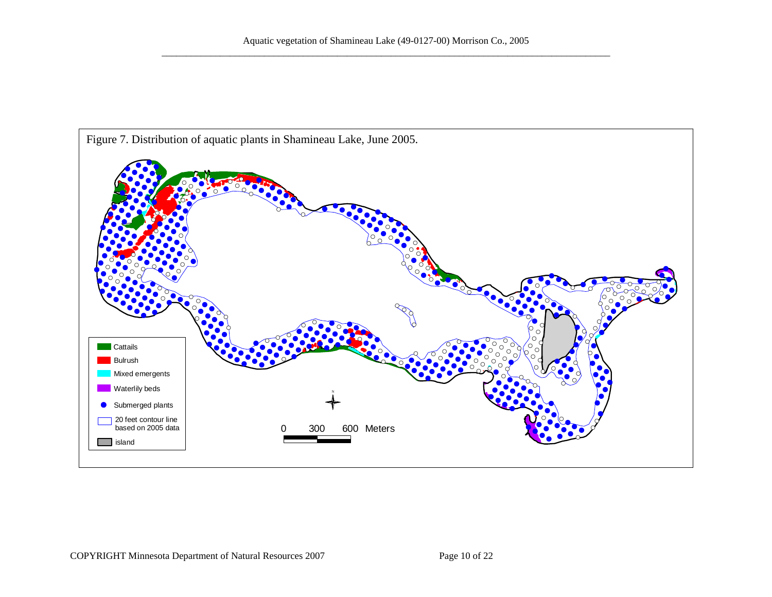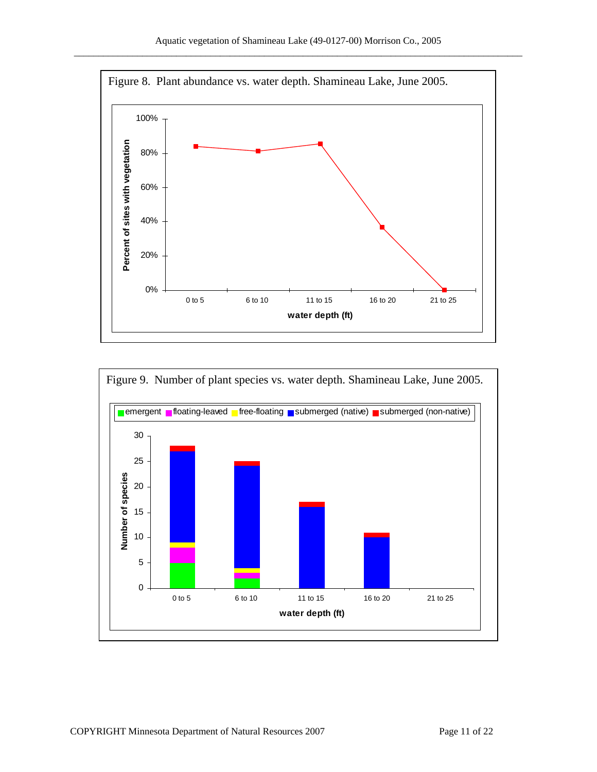



Figure 9. Number of plant species vs. water depth. Shamineau Lake, June 2005.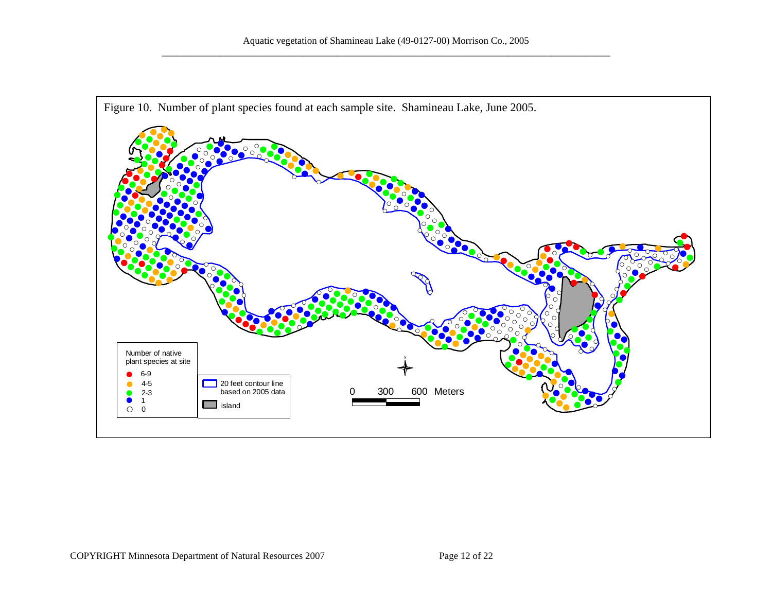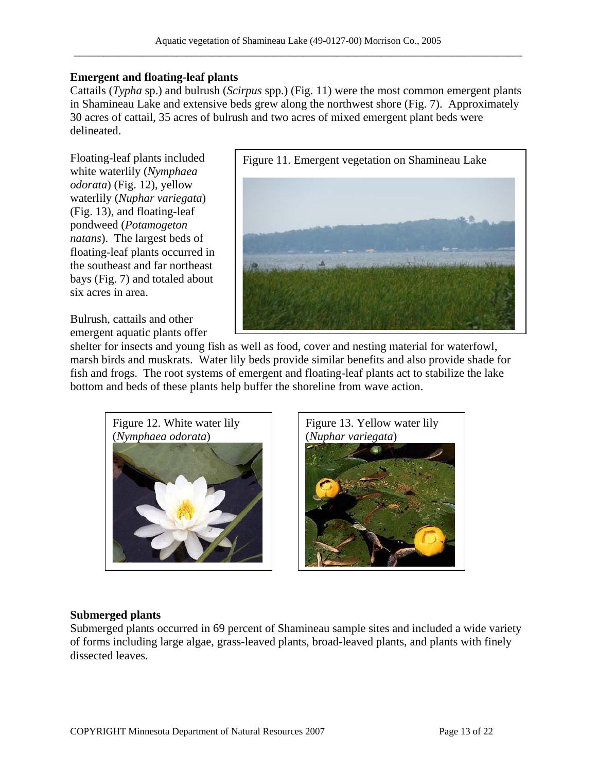### **Emergent and floating-leaf plants**

Cattails (*Typha* sp.) and bulrush (*Scirpus* spp.) (Fig. 11) were the most common emergent plants in Shamineau Lake and extensive beds grew along the northwest shore (Fig. 7). Approximately 30 acres of cattail, 35 acres of bulrush and two acres of mixed emergent plant beds were delineated.

Floating-leaf plants included white waterlily (*Nymphaea odorata*) (Fig. 12), yellow waterlily (*Nuphar variegata*) (Fig. 13), and floating-leaf pondweed (*Potamogeton natans*). The largest beds of floating-leaf plants occurred in the southeast and far northeast bays (Fig. 7) and totaled about six acres in area.

Bulrush, cattails and other emergent aquatic plants offer



shelter for insects and young fish as well as food, cover and nesting material for waterfowl, marsh birds and muskrats. Water lily beds provide similar benefits and also provide shade for fish and frogs. The root systems of emergent and floating-leaf plants act to stabilize the lake bottom and beds of these plants help buffer the shoreline from wave action.



Figure 13. Yellow water lily (*Nuphar variegata*)



### **Submerged plants**

Submerged plants occurred in 69 percent of Shamineau sample sites and included a wide variety of forms including large algae, grass-leaved plants, broad-leaved plants, and plants with finely dissected leaves.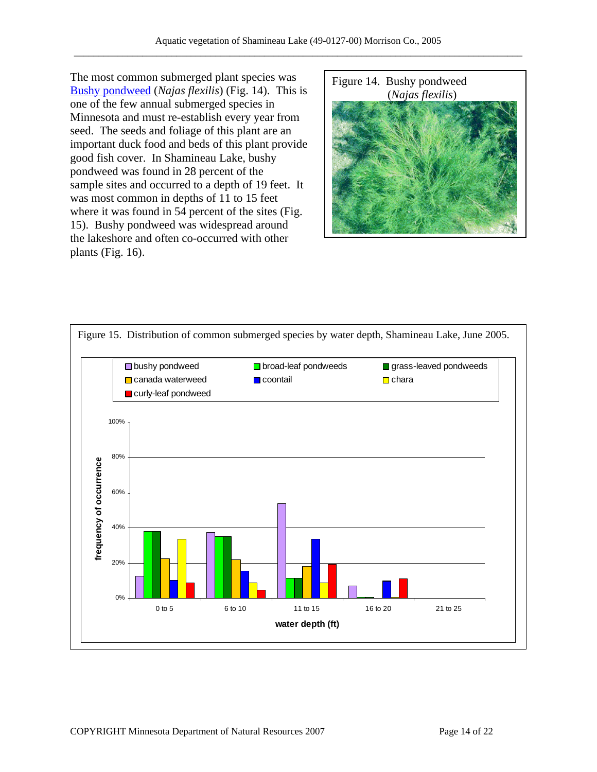[The most commo](http://www.dnr.state.mn.us/aquatic_plants/submerged_plants/bushy_pondweeds.html)n submerged plant species was Figure 14. [Bushy pondweed](http://www.dnr.state.mn.us/aquatic_plants/submerged_plants/bushy_pondweeds.html) (*Najas flexilis*) (*Najas flexilis*) one of the few annual submerged species in Minnesota and must re-establish every year from seed. The seeds and foliage of this plant are an important duck food and beds of this plant provide good fish cover. In Shamineau Lake, bushy pondweed was found in 28 percent of the sample sites and occurred to a depth of 19 feet. It was most common in depths of 11 to 15 feet where it was found in 54 percent of the sites (Fig. 15). Bushy pondweed was widespread around the lakeshore and often co-occurred with other plants (Fig. 16).



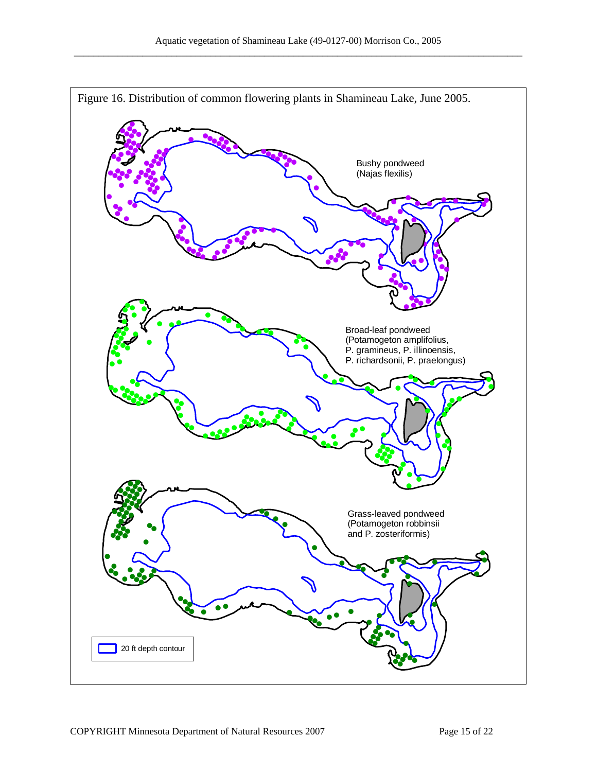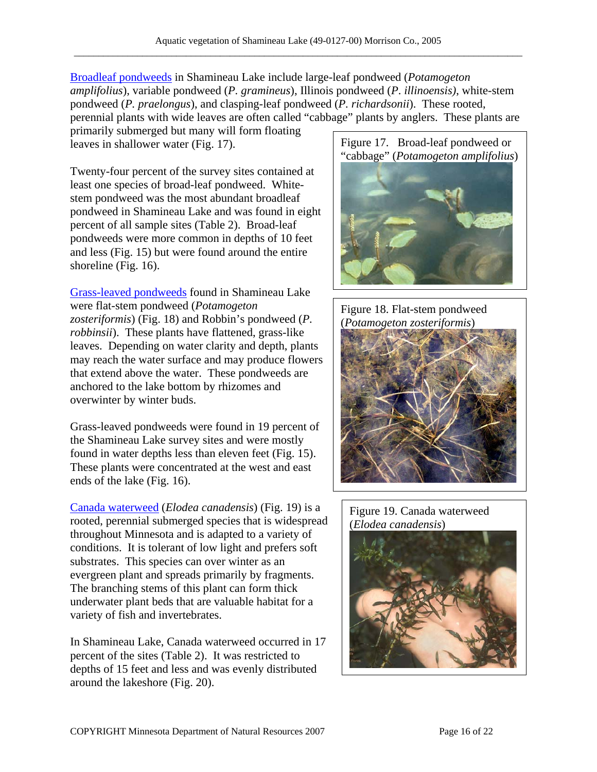[Broadleaf pondweeds](http://www.dnr.state.mn.us/aquatic_plants/submerged_plants/broadleaf_pondweeds.html) in Shamineau Lake include large-leaf pondweed (*Potamogeton amplifolius*), variable pondweed (*P. gramineus*), Illinois pondweed (*P*. *illinoensis)*, white-stem pondweed (*P. praelongus*), and clasping-leaf pondweed (*P. richardsonii*). These rooted, perennial plants with wide leaves are often called "cabbage" plants by anglers. These plants are

primarily submerged but many will form floating leaves in shallower water (Fig. 17). Figure 17. Broad-leaf pondweed or

Twenty-four percent of the survey sites contained at least one species of broad-leaf pondweed. Whitestem pondweed was the most abundant broadleaf pondweed in Shamineau Lake and was found in eight percent of all sample sites (Table 2). Broad-leaf pondweeds were more common in depths of 10 feet and less (Fig. 15) but were found around the entire shoreline (Fig. 16).

[Grass-leaved pondweeds](http://www.dnr.state.mn.us/aquatic_plants/submerged_plants/narrowleaf_pondweeds.html) found in Shamineau Lake were flat-stem pondweed (*Potamogeton zosteriformis*) (Fig. 18) and Robbin's pondweed (*P. robbinsii*). These plants have flattened, grass-like leaves. Depending on water clarity and depth, plants may reach the water surface and may produce flowers that extend above the water. These pondweeds are anchored to the lake bottom by rhizomes and overwinter by winter buds.

Grass-leaved pondweeds were found in 19 percent of the Shamineau Lake survey sites and were mostly found in water depths less than eleven feet (Fig. 15). These plants were concentrated at the west and east ends of the lake (Fig. 16).

[Canada waterweed](http://www.dnr.state.mn.us/aquatic_plants/submerged_plants/canada_waterweed.html) (*Elodea canadensis*) (Fig. 19) is a rooted, perennial submerged species that is widespread throughout Minnesota and is adapted to a variety of conditions. It is tolerant of low light and prefers soft substrates. This species can over winter as an evergreen plant and spreads primarily by fragments. The branching stems of this plant can form thick underwater plant beds that are valuable habitat for a variety of fish and invertebrates.

In Shamineau Lake, Canada waterweed occurred in 17 percent of the sites (Table 2). It was restricted to depths of 15 feet and less and was evenly distributed around the lakeshore (Fig. 20).







Figure 19. Canada waterweed (*Elodea canadensis*)

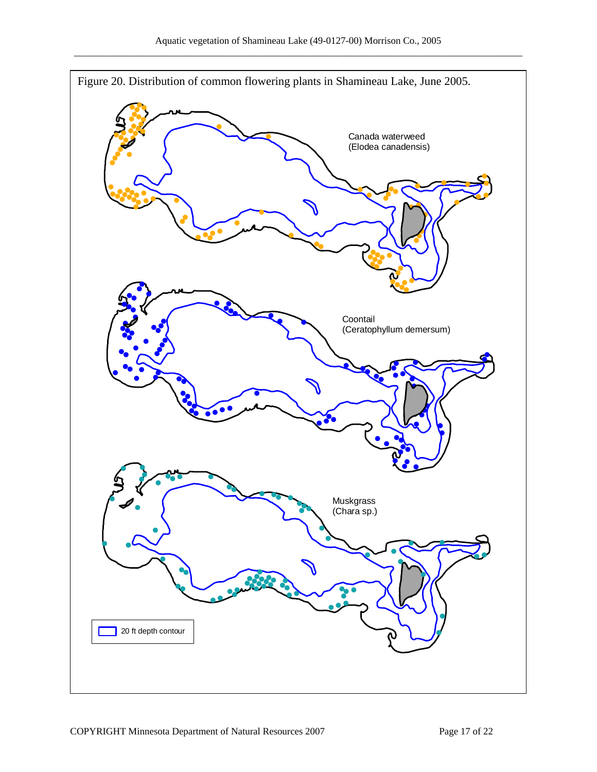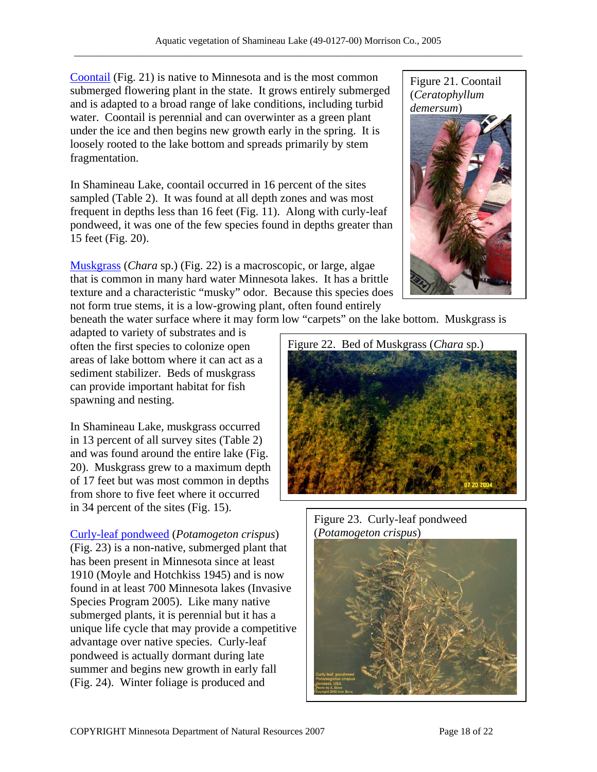[Coontail](http://www.dnr.state.mn.us/aquatic_plants/submerged_plants/coontail.html) (Fig. 21) is native to Minnesota and is the most common submerged flowering plant in the state. It grows entirely submerged and is adapted to a broad range of lake conditions, including turbid water. Coontail is perennial and can overwinter as a green plant under the ice and then begins new growth early in the spring. It is loosely rooted to the lake bottom and spreads primarily by stem fragmentation.

In Shamineau Lake, coontail occurred in 16 percent of the sites sampled (Table 2). It was found at all depth zones and was most frequent in depths less than 16 feet (Fig. 11). Along with curly-leaf pondweed, it was one of the few species found in depths greater than 15 feet (Fig. 20).

[Muskgrass](http://www.dnr.state.mn.us/aquatic_plants/algae/chara.html) (*Chara* sp.) (Fig. 22) is a macroscopic, or large, algae that is common in many hard water Minnesota lakes. It has a brittle texture and a characteristic "musky" odor. Because this species does not form true stems, it is a low-growing plant, often found entirely



beneath the water surface where it may form low "carpets" on the lake bottom. Muskgrass is

adapted to variety of substrates and is often the first species to colonize open areas of lake bottom where it can act as a sediment stabilizer. Beds of muskgrass can provide important habitat for fish spawning and nesting.

In Shamineau Lake, muskgrass occurred in 13 percent of all survey sites (Table 2) and was found around the entire lake (Fig. 20). Muskgrass grew to a maximum depth of 17 feet but was most common in depths from shore to five feet where it occurred in 34 percent of the sites (Fig. 15).

[Curly-leaf pondweed](http://www.dnr.state.mn.us/aquatic_plants/submerged_plants/curlyleaf_pondweed.html) (*Potamogeton crispus*) (*Potamogeton crispus*) (Fig. 23) is a non-native, submerged plant that has been present in Minnesota since at least 1910 (Moyle and Hotchkiss 1945) and is now found in at least 700 Minnesota lakes (Invasive Species Program 2005). Like many native submerged plants, it is perennial but it has a unique life cycle that may provide a competitive advantage over native species. Curly-leaf pondweed is actually dormant during late summer and begins new growth in early fall (Fig. 24). Winter foliage is produced and



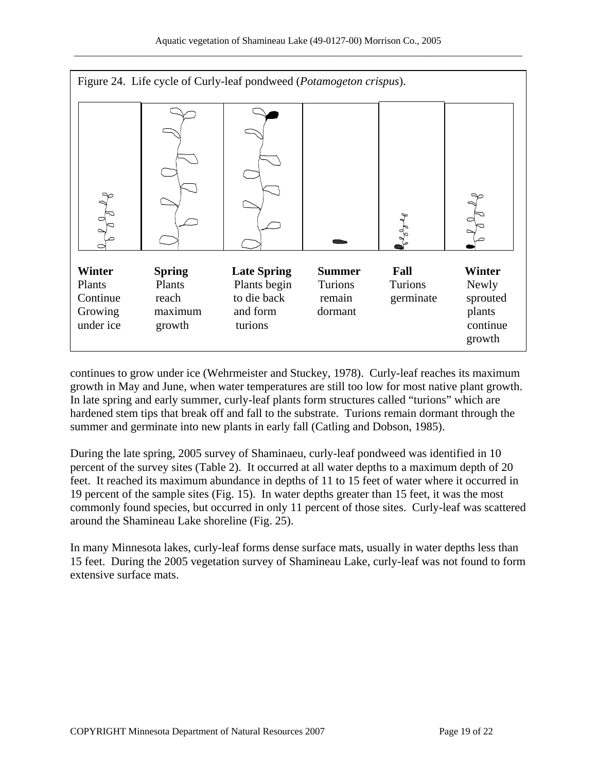

continues to grow under ice (Wehrmeister and Stuckey, 1978). Curly-leaf reaches its maximum growth in May and June, when water temperatures are still too low for most native plant growth. In late spring and early summer, curly-leaf plants form structures called "turions" which are hardened stem tips that break off and fall to the substrate. Turions remain dormant through the summer and germinate into new plants in early fall (Catling and Dobson, 1985).

During the late spring, 2005 survey of Shaminaeu, curly-leaf pondweed was identified in 10 percent of the survey sites (Table 2). It occurred at all water depths to a maximum depth of 20 feet. It reached its maximum abundance in depths of 11 to 15 feet of water where it occurred in 19 percent of the sample sites (Fig. 15). In water depths greater than 15 feet, it was the most commonly found species, but occurred in only 11 percent of those sites. Curly-leaf was scattered around the Shamineau Lake shoreline (Fig. 25).

In many Minnesota lakes, curly-leaf forms dense surface mats, usually in water depths less than 15 feet. During the 2005 vegetation survey of Shamineau Lake, curly-leaf was not found to form extensive surface mats.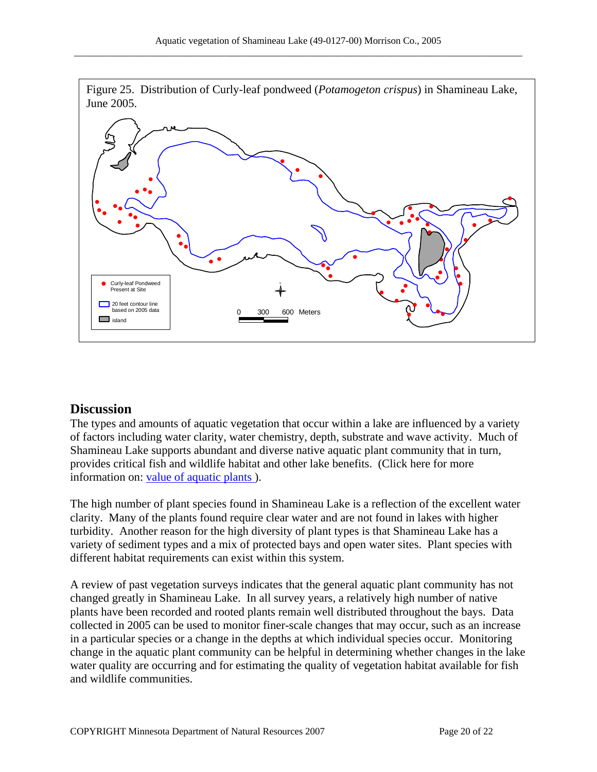

### **Discussion**

The types and amounts of aquatic vegetation that occur within a lake are influenced by a variety of factors including water clarity, water chemistry, depth, substrate and wave activity. Much of Shamineau Lake supports abundant and diverse native aquatic plant community that in turn, provides critical fish and wildlife habitat and other lake benefits. (Click here for more information on: [value of aquatic plants](http://www.dnr.state.mn.us/shorelandmgmt/apg/value.html) ).

The high number of plant species found in Shamineau Lake is a reflection of the excellent water clarity. Many of the plants found require clear water and are not found in lakes with higher turbidity. Another reason for the high diversity of plant types is that Shamineau Lake has a variety of sediment types and a mix of protected bays and open water sites. Plant species with different habitat requirements can exist within this system.

A review of past vegetation surveys indicates that the general aquatic plant community has not changed greatly in Shamineau Lake. In all survey years, a relatively high number of native plants have been recorded and rooted plants remain well distributed throughout the bays. Data collected in 2005 can be used to monitor finer-scale changes that may occur, such as an increase in a particular species or a change in the depths at which individual species occur. Monitoring change in the aquatic plant community can be helpful in determining whether changes in the lake water quality are occurring and for estimating the quality of vegetation habitat available for fish and wildlife communities.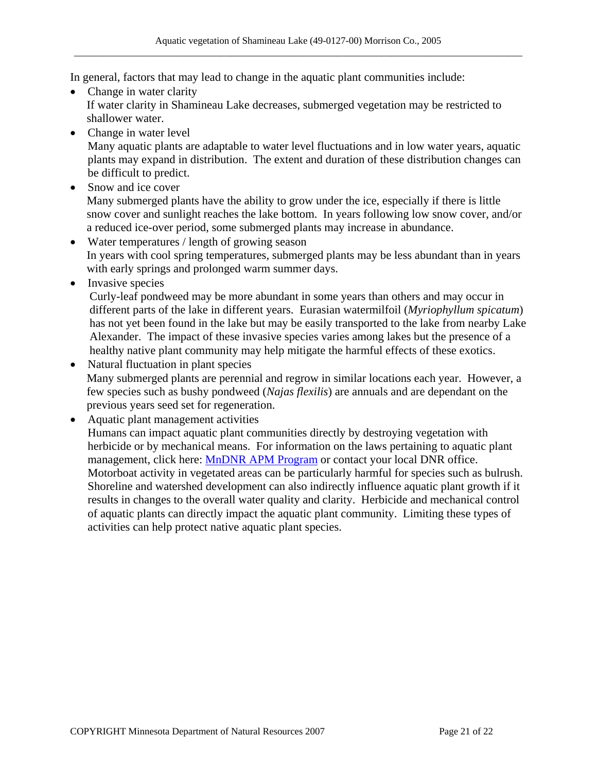In general, factors that may lead to change in the aquatic plant communities include:

- Change in water clarity If water clarity in Shamineau Lake decreases, submerged vegetation may be restricted to shallower water.
- Change in water level

Many aquatic plants are adaptable to water level fluctuations and in low water years, aquatic plants may expand in distribution. The extent and duration of these distribution changes can be difficult to predict.

- Snow and ice cover Many submerged plants have the ability to grow under the ice, especially if there is little snow cover and sunlight reaches the lake bottom. In years following low snow cover, and/or a reduced ice-over period, some submerged plants may increase in abundance.
- Water temperatures / length of growing season In years with cool spring temperatures, submerged plants may be less abundant than in years with early springs and prolonged warm summer days.
- Invasive species

Curly-leaf pondweed may be more abundant in some years than others and may occur in different parts of the lake in different years. Eurasian watermilfoil (*Myriophyllum spicatum*) has not yet been found in the lake but may be easily transported to the lake from nearby Lake Alexander. The impact of these invasive species varies among lakes but the presence of a healthy native plant community may help mitigate the harmful effects of these exotics.

- Natural fluctuation in plant species Many submerged plants are perennial and regrow in similar locations each year. However, a few species such as bushy pondweed (*Najas flexilis*) are annuals and are dependant on the previous years seed set for regeneration.
- Aquatic plant management activities

Humans can impact aquatic plant communities directly by destroying vegetation with herbicide or by mechanical means. For information on the laws pertaining to aquatic plant management, click here: [MnDNR APM Program](http://www.dnr.state.mn.us/ecological_services/apm/index.html) or contact your local DNR office. Motorboat activity in vegetated areas can be particularly harmful for species such as bulrush. Shoreline and watershed development can also indirectly influence aquatic plant growth if it results in changes to the overall water quality and clarity. Herbicide and mechanical control of aquatic plants can directly impact the aquatic plant community. Limiting these types of activities can help protect native aquatic plant species.